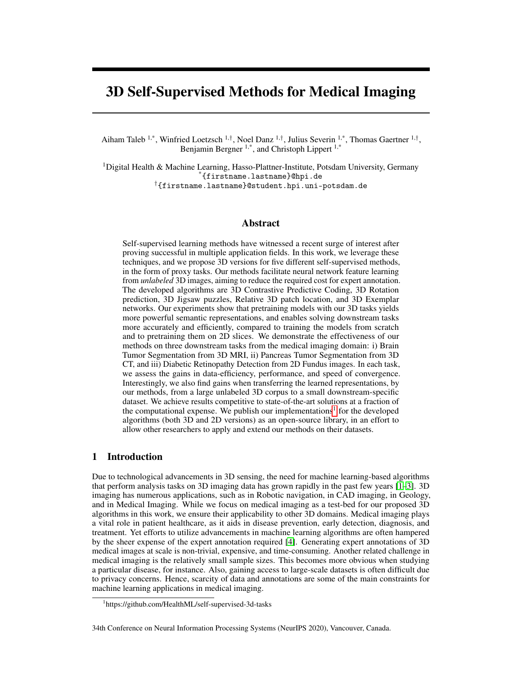# 3D Self-Supervised Methods for Medical Imaging

Aiham Taleb <sup>1,\*</sup>, Winfried Loetzsch <sup>1,†</sup>, Noel Danz <sup>1,†</sup>, Julius Severin <sup>1,\*</sup>, Thomas Gaertner <sup>1,†</sup>, Benjamin Bergner <sup>1,\*</sup>, and Christoph Lippert <sup>1,\*</sup>

<sup>1</sup>Digital Health & Machine Learning, Hasso-Plattner-Institute, Potsdam University, Germany \*{firstname.lastname}@hpi.de †{firstname.lastname}@student.hpi.uni-potsdam.de

### Abstract

Self-supervised learning methods have witnessed a recent surge of interest after proving successful in multiple application fields. In this work, we leverage these techniques, and we propose 3D versions for five different self-supervised methods, in the form of proxy tasks. Our methods facilitate neural network feature learning from *unlabeled* 3D images, aiming to reduce the required cost for expert annotation. The developed algorithms are 3D Contrastive Predictive Coding, 3D Rotation prediction, 3D Jigsaw puzzles, Relative 3D patch location, and 3D Exemplar networks. Our experiments show that pretraining models with our 3D tasks yields more powerful semantic representations, and enables solving downstream tasks more accurately and efficiently, compared to training the models from scratch and to pretraining them on 2D slices. We demonstrate the effectiveness of our methods on three downstream tasks from the medical imaging domain: i) Brain Tumor Segmentation from 3D MRI, ii) Pancreas Tumor Segmentation from 3D CT, and iii) Diabetic Retinopathy Detection from 2D Fundus images. In each task, we assess the gains in data-efficiency, performance, and speed of convergence. Interestingly, we also find gains when transferring the learned representations, by our methods, from a large unlabeled 3D corpus to a small downstream-specific dataset. We achieve results competitive to state-of-the-art solutions at a fraction of the computational expense. We publish our implementations<sup>[1](#page-0-0)</sup> for the developed algorithms (both 3D and 2D versions) as an open-source library, in an effort to allow other researchers to apply and extend our methods on their datasets.

## 1 Introduction

Due to technological advancements in 3D sensing, the need for machine learning-based algorithms that perform analysis tasks on 3D imaging data has grown rapidly in the past few years [\[1](#page-9-0)[–3\]](#page-9-1). 3D imaging has numerous applications, such as in Robotic navigation, in CAD imaging, in Geology, and in Medical Imaging. While we focus on medical imaging as a test-bed for our proposed 3D algorithms in this work, we ensure their applicability to other 3D domains. Medical imaging plays a vital role in patient healthcare, as it aids in disease prevention, early detection, diagnosis, and treatment. Yet efforts to utilize advancements in machine learning algorithms are often hampered by the sheer expense of the expert annotation required [\[4\]](#page-9-2). Generating expert annotations of 3D medical images at scale is non-trivial, expensive, and time-consuming. Another related challenge in medical imaging is the relatively small sample sizes. This becomes more obvious when studying a particular disease, for instance. Also, gaining access to large-scale datasets is often difficult due to privacy concerns. Hence, scarcity of data and annotations are some of the main constraints for machine learning applications in medical imaging.

<span id="page-0-0"></span><sup>1</sup> https://github.com/HealthML/self-supervised-3d-tasks

<sup>34</sup>th Conference on Neural Information Processing Systems (NeurIPS 2020), Vancouver, Canada.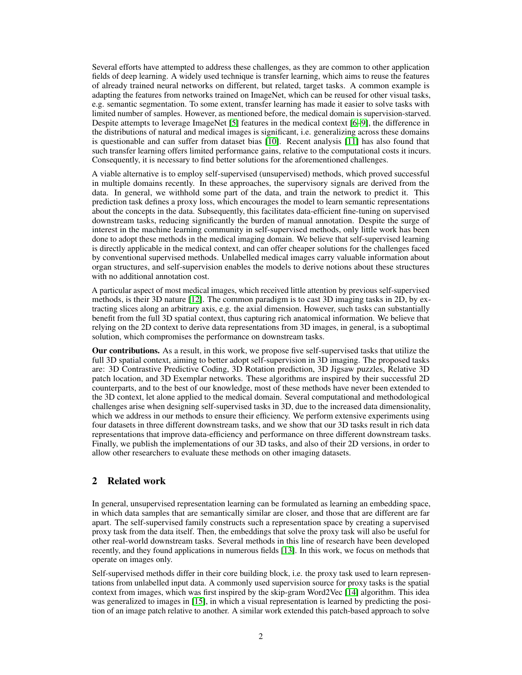Several efforts have attempted to address these challenges, as they are common to other application fields of deep learning. A widely used technique is transfer learning, which aims to reuse the features of already trained neural networks on different, but related, target tasks. A common example is adapting the features from networks trained on ImageNet, which can be reused for other visual tasks, e.g. semantic segmentation. To some extent, transfer learning has made it easier to solve tasks with limited number of samples. However, as mentioned before, the medical domain is supervision-starved. Despite attempts to leverage ImageNet [\[5\]](#page-9-3) features in the medical context [\[6–](#page-9-4)[9\]](#page-10-0), the difference in the distributions of natural and medical images is significant, i.e. generalizing across these domains is questionable and can suffer from dataset bias [\[10\]](#page-10-1). Recent analysis [\[11\]](#page-10-2) has also found that such transfer learning offers limited performance gains, relative to the computational costs it incurs. Consequently, it is necessary to find better solutions for the aforementioned challenges.

A viable alternative is to employ self-supervised (unsupervised) methods, which proved successful in multiple domains recently. In these approaches, the supervisory signals are derived from the data. In general, we withhold some part of the data, and train the network to predict it. This prediction task defines a proxy loss, which encourages the model to learn semantic representations about the concepts in the data. Subsequently, this facilitates data-efficient fine-tuning on supervised downstream tasks, reducing significantly the burden of manual annotation. Despite the surge of interest in the machine learning community in self-supervised methods, only little work has been done to adopt these methods in the medical imaging domain. We believe that self-supervised learning is directly applicable in the medical context, and can offer cheaper solutions for the challenges faced by conventional supervised methods. Unlabelled medical images carry valuable information about organ structures, and self-supervision enables the models to derive notions about these structures with no additional annotation cost.

A particular aspect of most medical images, which received little attention by previous self-supervised methods, is their 3D nature [\[12\]](#page-10-3). The common paradigm is to cast 3D imaging tasks in 2D, by extracting slices along an arbitrary axis, e.g. the axial dimension. However, such tasks can substantially benefit from the full 3D spatial context, thus capturing rich anatomical information. We believe that relying on the 2D context to derive data representations from 3D images, in general, is a suboptimal solution, which compromises the performance on downstream tasks.

Our contributions. As a result, in this work, we propose five self-supervised tasks that utilize the full 3D spatial context, aiming to better adopt self-supervision in 3D imaging. The proposed tasks are: 3D Contrastive Predictive Coding, 3D Rotation prediction, 3D Jigsaw puzzles, Relative 3D patch location, and 3D Exemplar networks. These algorithms are inspired by their successful 2D counterparts, and to the best of our knowledge, most of these methods have never been extended to the 3D context, let alone applied to the medical domain. Several computational and methodological challenges arise when designing self-supervised tasks in 3D, due to the increased data dimensionality, which we address in our methods to ensure their efficiency. We perform extensive experiments using four datasets in three different downstream tasks, and we show that our 3D tasks result in rich data representations that improve data-efficiency and performance on three different downstream tasks. Finally, we publish the implementations of our 3D tasks, and also of their 2D versions, in order to allow other researchers to evaluate these methods on other imaging datasets.

# 2 Related work

In general, unsupervised representation learning can be formulated as learning an embedding space, in which data samples that are semantically similar are closer, and those that are different are far apart. The self-supervised family constructs such a representation space by creating a supervised proxy task from the data itself. Then, the embeddings that solve the proxy task will also be useful for other real-world downstream tasks. Several methods in this line of research have been developed recently, and they found applications in numerous fields [\[13\]](#page-10-4). In this work, we focus on methods that operate on images only.

Self-supervised methods differ in their core building block, i.e. the proxy task used to learn representations from unlabelled input data. A commonly used supervision source for proxy tasks is the spatial context from images, which was first inspired by the skip-gram Word2Vec [\[14\]](#page-10-5) algorithm. This idea was generalized to images in [\[15\]](#page-10-6), in which a visual representation is learned by predicting the position of an image patch relative to another. A similar work extended this patch-based approach to solve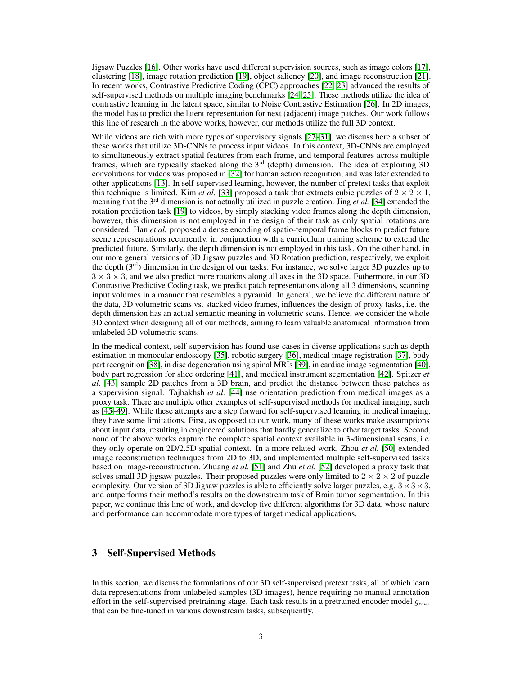Jigsaw Puzzles [\[16\]](#page-10-7). Other works have used different supervision sources, such as image colors [\[17\]](#page-10-8), clustering [\[18\]](#page-10-9), image rotation prediction [\[19\]](#page-10-10), object saliency [\[20\]](#page-10-11), and image reconstruction [\[21\]](#page-10-12). In recent works, Contrastive Predictive Coding (CPC) approaches [\[22,](#page-10-13) [23\]](#page-10-14) advanced the results of self-supervised methods on multiple imaging benchmarks [\[24,](#page-11-0) [25\]](#page-11-1). These methods utilize the idea of contrastive learning in the latent space, similar to Noise Contrastive Estimation [\[26\]](#page-11-2). In 2D images, the model has to predict the latent representation for next (adjacent) image patches. Our work follows this line of research in the above works, however, our methods utilize the full 3D context.

While videos are rich with more types of supervisory signals [\[27–](#page-11-3)[31\]](#page-11-4), we discuss here a subset of these works that utilize 3D-CNNs to process input videos. In this context, 3D-CNNs are employed to simultaneously extract spatial features from each frame, and temporal features across multiple frames, which are typically stacked along the  $3<sup>rd</sup>$  (depth) dimension. The idea of exploiting  $3D$ convolutions for videos was proposed in [\[32\]](#page-11-5) for human action recognition, and was later extended to other applications [\[13\]](#page-10-4). In self-supervised learning, however, the number of pretext tasks that exploit this technique is limited. Kim *et al.* [\[33\]](#page-11-6) proposed a task that extracts cubic puzzles of  $2 \times 2 \times 1$ , meaning that the 3rd dimension is not actually utilized in puzzle creation. Jing *et al.* [\[34\]](#page-11-7) extended the rotation prediction task [\[19\]](#page-10-10) to videos, by simply stacking video frames along the depth dimension, however, this dimension is not employed in the design of their task as only spatial rotations are considered. Han *et al.* proposed a dense encoding of spatio-temporal frame blocks to predict future scene representations recurrently, in conjunction with a curriculum training scheme to extend the predicted future. Similarly, the depth dimension is not employed in this task. On the other hand, in our more general versions of 3D Jigsaw puzzles and 3D Rotation prediction, respectively, we exploit the depth  $(3<sup>rd</sup>)$  dimension in the design of our tasks. For instance, we solve larger 3D puzzles up to  $3 \times 3 \times 3$ , and we also predict more rotations along all axes in the 3D space. Futhermore, in our 3D Contrastive Predictive Coding task, we predict patch representations along all 3 dimensions, scanning input volumes in a manner that resembles a pyramid. In general, we believe the different nature of the data, 3D volumetric scans vs. stacked video frames, influences the design of proxy tasks, i.e. the depth dimension has an actual semantic meaning in volumetric scans. Hence, we consider the whole 3D context when designing all of our methods, aiming to learn valuable anatomical information from unlabeled 3D volumetric scans.

In the medical context, self-supervision has found use-cases in diverse applications such as depth estimation in monocular endoscopy [\[35\]](#page-11-8), robotic surgery [\[36\]](#page-11-9), medical image registration [\[37\]](#page-11-10), body part recognition [\[38\]](#page-11-11), in disc degeneration using spinal MRIs [\[39\]](#page-11-12), in cardiac image segmentation [\[40\]](#page-11-13), body part regression for slice ordering [\[41\]](#page-12-0), and medical instrument segmentation [\[42\]](#page-12-1). Spitzer *et al.* [\[43\]](#page-12-2) sample 2D patches from a 3D brain, and predict the distance between these patches as a supervision signal. Tajbakhsh *et al.* [\[44\]](#page-12-3) use orientation prediction from medical images as a proxy task. There are multiple other examples of self-supervised methods for medical imaging, such as [\[45–](#page-12-4)[49\]](#page-12-5). While these attempts are a step forward for self-supervised learning in medical imaging, they have some limitations. First, as opposed to our work, many of these works make assumptions about input data, resulting in engineered solutions that hardly generalize to other target tasks. Second, none of the above works capture the complete spatial context available in 3-dimensional scans, i.e. they only operate on 2D/2.5D spatial context. In a more related work, Zhou *et al.* [\[50\]](#page-12-6) extended image reconstruction techniques from 2D to 3D, and implemented multiple self-supervised tasks based on image-reconstruction. Zhuang *et al.* [\[51\]](#page-12-7) and Zhu *et al.* [\[52\]](#page-12-8) developed a proxy task that solves small 3D jigsaw puzzles. Their proposed puzzles were only limited to  $2 \times 2 \times 2$  of puzzle complexity. Our version of 3D Jigsaw puzzles is able to efficiently solve larger puzzles, e.g.  $3 \times 3 \times 3$ , and outperforms their method's results on the downstream task of Brain tumor segmentation. In this paper, we continue this line of work, and develop five different algorithms for 3D data, whose nature and performance can accommodate more types of target medical applications.

## 3 Self-Supervised Methods

In this section, we discuss the formulations of our 3D self-supervised pretext tasks, all of which learn data representations from unlabeled samples (3D images), hence requiring no manual annotation effort in the self-supervised pretraining stage. Each task results in a pretrained encoder model  $g_{enc}$ that can be fine-tuned in various downstream tasks, subsequently.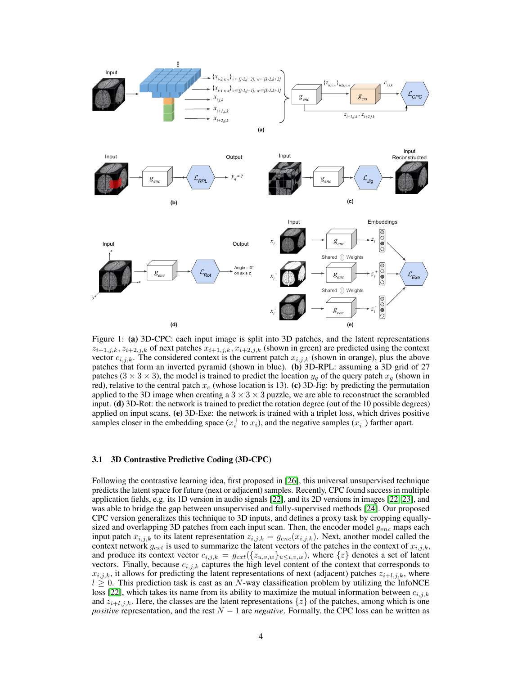<span id="page-3-0"></span>

Figure 1: (a) 3D-CPC: each input image is split into 3D patches, and the latent representations  $z_{i+1,j,k}$ ,  $z_{i+2,j,k}$  of next patches  $x_{i+1,j,k}$ ,  $x_{i+2,j,k}$  (shown in green) are predicted using the context vector  $c_{i,j,k}$ . The considered context is the current patch  $x_{i,j,k}$  (shown in orange), plus the above patches that form an inverted pyramid (shown in blue). (b) 3D-RPL: assuming a 3D grid of 27 patches (3  $\times$  3  $\times$  3), the model is trained to predict the location  $y_q$  of the query patch  $x_q$  (shown in red), relative to the central patch  $x_c$  (whose location is 13). (c) 3D-Jig: by predicting the permutation applied to the 3D image when creating a  $3 \times 3 \times 3$  puzzle, we are able to reconstruct the scrambled input. (d) 3D-Rot: the network is trained to predict the rotation degree (out of the 10 possible degrees) applied on input scans. (e) 3D-Exe: the network is trained with a triplet loss, which drives positive samples closer in the embedding space  $(x_i^+$  to  $x_i)$ , and the negative samples  $(x_i^-)$  farther apart.

#### 3.1 3D Contrastive Predictive Coding (3D-CPC)

Following the contrastive learning idea, first proposed in [\[26\]](#page-11-2), this universal unsupervised technique predicts the latent space for future (next or adjacent) samples. Recently, CPC found success in multiple application fields, e.g. its 1D version in audio signals [\[22\]](#page-10-13), and its 2D versions in images [\[22,](#page-10-13) [23\]](#page-10-14), and was able to bridge the gap between unsupervised and fully-supervised methods [\[24\]](#page-11-0). Our proposed CPC version generalizes this technique to 3D inputs, and defines a proxy task by cropping equallysized and overlapping 3D patches from each input scan. Then, the encoder model  $g_{enc}$  maps each input patch  $x_{i,j,k}$  to its latent representation  $z_{i,j,k} = g_{enc}(x_{i,j,k})$ . Next, another model called the context network  $g_{cxt}$  is used to summarize the latent vectors of the patches in the context of  $x_{i,j,k}$ , and produce its context vector  $c_{i,j,k} = g_{cxt}(\{z_{u,v,w}\}_{u \le i,v,w})$ , where  $\{z\}$  denotes a set of latent vectors. Finally, because  $c_{i,j,k}$  captures the high level content of the context that corresponds to  $x_{i,j,k}$ , it allows for predicting the latent representations of next (adjacent) patches  $z_{i+l,j,k}$ , where  $l \geq 0$ . This prediction task is cast as an N-way classification problem by utilizing the InfoNCE loss [\[22\]](#page-10-13), which takes its name from its ability to maximize the mutual information between  $c_{i,j,k}$ and  $z_{i+l,j,k}$ . Here, the classes are the latent representations  $\{z\}$  of the patches, among which is one *positive* representation, and the rest  $N - 1$  are *negative*. Formally, the CPC loss can be written as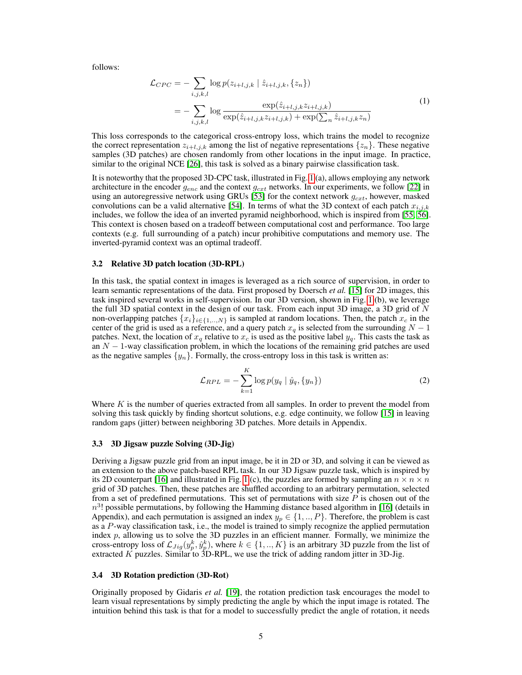follows:

$$
\mathcal{L}_{CPC} = -\sum_{i,j,k,l} \log p(z_{i+l,j,k} | \hat{z}_{i+l,j,k}, \{z_n\})
$$

$$
= -\sum_{i,j,k,l} \log \frac{\exp(\hat{z}_{i+l,j,k} z_{i+l,j,k})}{\exp(\hat{z}_{i+l,j,k} z_{i+l,j,k}) + \exp(\sum_n \hat{z}_{i+l,j,k} z_n)}
$$
(1)

This loss corresponds to the categorical cross-entropy loss, which trains the model to recognize the correct representation  $z_{i+l,j,k}$  among the list of negative representations  $\{z_n\}$ . These negative samples (3D patches) are chosen randomly from other locations in the input image. In practice, similar to the original NCE [\[26\]](#page-11-2), this task is solved as a binary pairwise classification task.

It is noteworthy that the proposed 3D-CPC task, illustrated in Fig. [1](#page-3-0) (a), allows employing any network architecture in the encoder  $g_{enc}$  and the context  $g_{cxt}$  networks. In our experiments, we follow [\[22\]](#page-10-13) in using an autoregressive network using GRUs [\[53\]](#page-12-9) for the context network  $g_{cxt}$ , however, masked convolutions can be a valid alternative [\[54\]](#page-13-0). In terms of what the 3D context of each patch  $x_{i,j,k}$ includes, we follow the idea of an inverted pyramid neighborhood, which is inspired from [\[55,](#page-13-1) [56\]](#page-13-2). This context is chosen based on a tradeoff between computational cost and performance. Too large contexts (e.g. full surrounding of a patch) incur prohibitive computations and memory use. The inverted-pyramid context was an optimal tradeoff.

#### 3.2 Relative 3D patch location (3D-RPL)

In this task, the spatial context in images is leveraged as a rich source of supervision, in order to learn semantic representations of the data. First proposed by Doersch *et al.* [\[15\]](#page-10-6) for 2D images, this task inspired several works in self-supervision. In our 3D version, shown in Fig. [1](#page-3-0) (b), we leverage the full 3D spatial context in the design of our task. From each input 3D image, a 3D grid of  $N$ non-overlapping patches  $\{x_i\}_{i\in\{1,\ldots,N\}}$  is sampled at random locations. Then, the patch  $x_c$  in the center of the grid is used as a reference, and a query patch  $x_q$  is selected from the surrounding  $N-1$ patches. Next, the location of  $x_q$  relative to  $x_c$  is used as the positive label  $y_q$ . This casts the task as an  $N-1$ -way classification problem, in which the locations of the remaining grid patches are used as the negative samples  $\{y_n\}$ . Formally, the cross-entropy loss in this task is written as:

$$
\mathcal{L}_{RPL} = -\sum_{k=1}^{K} \log p(y_q | \hat{y}_q, \{y_n\})
$$
\n(2)

Where  $K$  is the number of queries extracted from all samples. In order to prevent the model from solving this task quickly by finding shortcut solutions, e.g. edge continuity, we follow [\[15\]](#page-10-6) in leaving random gaps (jitter) between neighboring 3D patches. More details in Appendix.

#### 3.3 3D Jigsaw puzzle Solving (3D-Jig)

Deriving a Jigsaw puzzle grid from an input image, be it in 2D or 3D, and solving it can be viewed as an extension to the above patch-based RPL task. In our 3D Jigsaw puzzle task, which is inspired by its 2D counterpart [\[16\]](#page-10-7) and illustrated in Fig. [1](#page-3-0) (c), the puzzles are formed by sampling an  $n \times n \times n$ grid of 3D patches. Then, these patches are shuffled according to an arbitrary permutation, selected from a set of predefined permutations. This set of permutations with size  $P$  is chosen out of the  $n^3!$  possible permutations, by following the Hamming distance based algorithm in [\[16\]](#page-10-7) (details in Appendix), and each permutation is assigned an index  $y_p \in \{1, ..., P\}$ . Therefore, the problem is cast as a P-way classification task, i.e., the model is trained to simply recognize the applied permutation index  $p$ , allowing us to solve the 3D puzzles in an efficient manner. Formally, we minimize the cross-entropy loss of  $\mathcal{L}_{Jig}(y_p^k, \hat{y}_p^k)$ , where  $k \in \{1, ..., K\}$  is an arbitrary 3D puzzle from the list of extracted  $K$  puzzles. Similar to 3D-RPL, we use the trick of adding random jitter in 3D-Jig.

#### 3.4 3D Rotation prediction (3D-Rot)

Originally proposed by Gidaris *et al.* [\[19\]](#page-10-10), the rotation prediction task encourages the model to learn visual representations by simply predicting the angle by which the input image is rotated. The intuition behind this task is that for a model to successfully predict the angle of rotation, it needs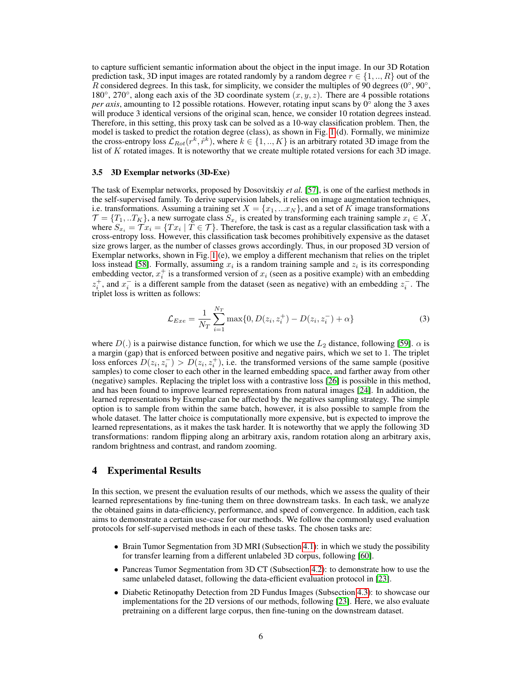to capture sufficient semantic information about the object in the input image. In our 3D Rotation prediction task, 3D input images are rotated randomly by a random degree  $r \in \{1, ..., R\}$  out of the R considered degrees. In this task, for simplicity, we consider the multiples of 90 degrees ( $0^\circ$ ,  $90^\circ$ , 180°, 270°, along each axis of the 3D coordinate system  $(x, y, z)$ . There are 4 possible rotations *per axis*, amounting to 12 possible rotations. However, rotating input scans by 0◦ along the 3 axes will produce 3 identical versions of the original scan, hence, we consider 10 rotation degrees instead. Therefore, in this setting, this proxy task can be solved as a 10-way classification problem. Then, the model is tasked to predict the rotation degree (class), as shown in Fig. [1](#page-3-0) (d). Formally, we minimize the cross-entropy loss  $\mathcal{L}_{Rot}(r^k, \hat{r}^k)$ , where  $k \in \{1, ..., K\}$  is an arbitrary rotated 3D image from the list of K rotated images. It is noteworthy that we create multiple rotated versions for each 3D image.

#### 3.5 3D Exemplar networks (3D-Exe)

The task of Exemplar networks, proposed by Dosovitskiy *et al.* [\[57\]](#page-13-3), is one of the earliest methods in the self-supervised family. To derive supervision labels, it relies on image augmentation techniques, i.e. transformations. Assuming a training set  $X = \{x_1, \ldots x_N\}$ , and a set of K image transformations  $\mathcal{T} = \{T_1, . . T_K\}$ , a new surrogate class  $S_{x_i}$  is created by transforming each training sample  $x_i \in X$ , where  $S_{x_i} = \mathcal{T} x_i = \{Tx_i \mid T \in \mathcal{T}\}\$ . Therefore, the task is cast as a regular classification task with a cross-entropy loss. However, this classification task becomes prohibitively expensive as the dataset size grows larger, as the number of classes grows accordingly. Thus, in our proposed 3D version of Exemplar networks, shown in Fig. [1](#page-3-0) (e), we employ a different mechanism that relies on the triplet loss instead [\[58\]](#page-13-4). Formally, assuming  $x_i$  is a random training sample and  $z_i$  is its corresponding embedding vector,  $x_i^+$  is a transformed version of  $x_i$  (seen as a positive example) with an embedding  $z_i^+$ , and  $x_i^-$  is a different sample from the dataset (seen as negative) with an embedding  $z_i^-$ . The triplet loss is written as follows:

$$
\mathcal{L}_{Exe} = \frac{1}{N_T} \sum_{i=1}^{N_T} \max\{0, D(z_i, z_i^+) - D(z_i, z_i^-) + \alpha\}
$$
 (3)

where  $D(.)$  is a pairwise distance function, for which we use the  $L_2$  distance, following [\[59\]](#page-13-5).  $\alpha$  is a margin (gap) that is enforced between positive and negative pairs, which we set to 1. The triplet loss enforces  $D(z_i, z_i^-) > D(z_i, z_i^+)$ , i.e. the transformed versions of the same sample (positive samples) to come closer to each other in the learned embedding space, and farther away from other (negative) samples. Replacing the triplet loss with a contrastive loss [\[26\]](#page-11-2) is possible in this method, and has been found to improve learned representations from natural images [\[24\]](#page-11-0). In addition, the learned representations by Exemplar can be affected by the negatives sampling strategy. The simple option is to sample from within the same batch, however, it is also possible to sample from the whole dataset. The latter choice is computationally more expensive, but is expected to improve the learned representations, as it makes the task harder. It is noteworthy that we apply the following 3D transformations: random flipping along an arbitrary axis, random rotation along an arbitrary axis, random brightness and contrast, and random zooming.

## 4 Experimental Results

In this section, we present the evaluation results of our methods, which we assess the quality of their learned representations by fine-tuning them on three downstream tasks. In each task, we analyze the obtained gains in data-efficiency, performance, and speed of convergence. In addition, each task aims to demonstrate a certain use-case for our methods. We follow the commonly used evaluation protocols for self-supervised methods in each of these tasks. The chosen tasks are:

- Brain Tumor Segmentation from 3D MRI (Subsection [4.1\)](#page-6-0): in which we study the possibility for transfer learning from a different unlabeled 3D corpus, following [\[60\]](#page-13-6).
- Pancreas Tumor Segmentation from 3D CT (Subsection [4.2\)](#page-6-1): to demonstrate how to use the same unlabeled dataset, following the data-efficient evaluation protocol in [\[23\]](#page-10-14).
- Diabetic Retinopathy Detection from 2D Fundus Images (Subsection [4.3\)](#page-7-0): to showcase our implementations for the 2D versions of our methods, following [\[23\]](#page-10-14). Here, we also evaluate pretraining on a different large corpus, then fine-tuning on the downstream dataset.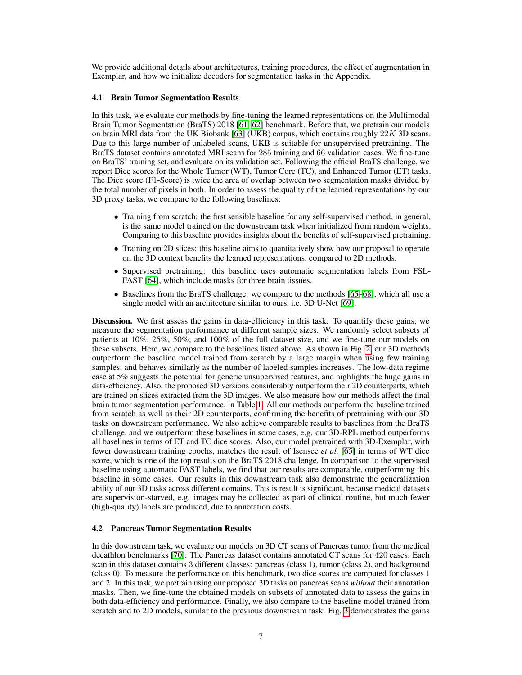We provide additional details about architectures, training procedures, the effect of augmentation in Exemplar, and how we initialize decoders for segmentation tasks in the Appendix.

#### <span id="page-6-0"></span>4.1 Brain Tumor Segmentation Results

In this task, we evaluate our methods by fine-tuning the learned representations on the Multimodal Brain Tumor Segmentation (BraTS) 2018 [\[61,](#page-13-7) [62\]](#page-13-8) benchmark. Before that, we pretrain our models on brain MRI data from the UK Biobank [\[63\]](#page-13-9) (UKB) corpus, which contains roughly  $22K$  3D scans. Due to this large number of unlabeled scans, UKB is suitable for unsupervised pretraining. The BraTS dataset contains annotated MRI scans for 285 training and 66 validation cases. We fine-tune on BraTS' training set, and evaluate on its validation set. Following the official BraTS challenge, we report Dice scores for the Whole Tumor (WT), Tumor Core (TC), and Enhanced Tumor (ET) tasks. The Dice score (F1-Score) is twice the area of overlap between two segmentation masks divided by the total number of pixels in both. In order to assess the quality of the learned representations by our 3D proxy tasks, we compare to the following baselines:

- Training from scratch: the first sensible baseline for any self-supervised method, in general, is the same model trained on the downstream task when initialized from random weights. Comparing to this baseline provides insights about the benefits of self-supervised pretraining.
- Training on 2D slices: this baseline aims to quantitatively show how our proposal to operate on the 3D context benefits the learned representations, compared to 2D methods.
- Supervised pretraining: this baseline uses automatic segmentation labels from FSL-FAST [\[64\]](#page-13-10), which include masks for three brain tissues.
- Baselines from the BraTS challenge: we compare to the methods [\[65–](#page-13-11)[68\]](#page-13-12), which all use a single model with an architecture similar to ours, i.e. 3D U-Net [\[69\]](#page-14-0).

Discussion. We first assess the gains in data-efficiency in this task. To quantify these gains, we measure the segmentation performance at different sample sizes. We randomly select subsets of patients at 10%, 25%, 50%, and 100% of the full dataset size, and we fine-tune our models on these subsets. Here, we compare to the baselines listed above. As shown in Fig. [2,](#page-7-1) our 3D methods outperform the baseline model trained from scratch by a large margin when using few training samples, and behaves similarly as the number of labeled samples increases. The low-data regime case at 5% suggests the potential for generic unsupervised features, and highlights the huge gains in data-efficiency. Also, the proposed 3D versions considerably outperform their 2D counterparts, which are trained on slices extracted from the 3D images. We also measure how our methods affect the final brain tumor segmentation performance, in Table [1.](#page-7-1) All our methods outperform the baseline trained from scratch as well as their 2D counterparts, confirming the benefits of pretraining with our 3D tasks on downstream performance. We also achieve comparable results to baselines from the BraTS challenge, and we outperform these baselines in some cases, e.g. our 3D-RPL method outperforms all baselines in terms of ET and TC dice scores. Also, our model pretrained with 3D-Exemplar, with fewer downstream training epochs, matches the result of Isensee *et al.* [\[65\]](#page-13-11) in terms of WT dice score, which is one of the top results on the BraTS 2018 challenge. In comparison to the supervised baseline using automatic FAST labels, we find that our results are comparable, outperforming this baseline in some cases. Our results in this downstream task also demonstrate the generalization ability of our 3D tasks across different domains. This is result is significant, because medical datasets are supervision-starved, e.g. images may be collected as part of clinical routine, but much fewer (high-quality) labels are produced, due to annotation costs.

#### <span id="page-6-1"></span>4.2 Pancreas Tumor Segmentation Results

In this downstream task, we evaluate our models on 3D CT scans of Pancreas tumor from the medical decathlon benchmarks [\[70\]](#page-14-1). The Pancreas dataset contains annotated CT scans for 420 cases. Each scan in this dataset contains 3 different classes: pancreas (class 1), tumor (class 2), and background (class 0). To measure the performance on this benchmark, two dice scores are computed for classes 1 and 2. In this task, we pretrain using our proposed 3D tasks on pancreas scans *without* their annotation masks. Then, we fine-tune the obtained models on subsets of annotated data to assess the gains in both data-efficiency and performance. Finally, we also compare to the baseline model trained from scratch and to 2D models, similar to the previous downstream task. Fig. [3](#page-8-0) demonstrates the gains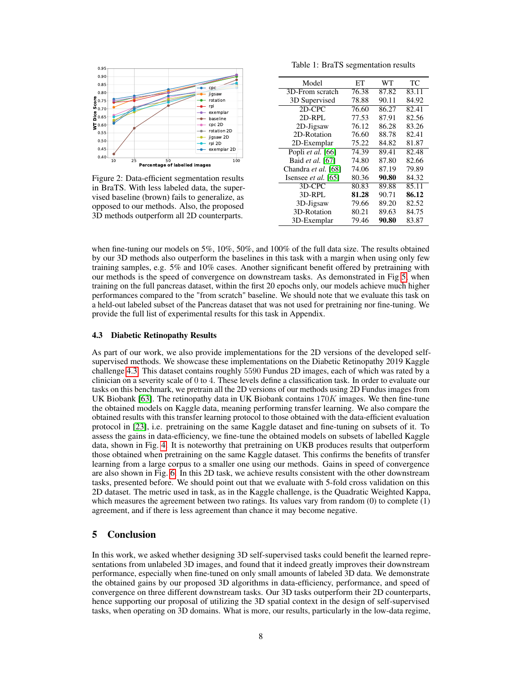<span id="page-7-1"></span>

Figure 2: Data-efficient segmentation results in BraTS. With less labeled data, the supervised baseline (brown) fails to generalize, as opposed to our methods. Also, the proposed 3D methods outperform all 2D counterparts.

Table 1: BraTS segmentation results

| EТ    | WТ    | ТC    |
|-------|-------|-------|
| 76.38 | 87.82 | 83.11 |
| 78.88 | 90.11 | 84.92 |
| 76.60 | 86.27 | 82.41 |
| 77.53 | 87.91 | 82.56 |
| 76.12 | 86.28 | 83.26 |
| 76.60 | 88.78 | 82.41 |
| 75.22 | 84.82 | 81.87 |
| 74.39 | 89.41 | 82.48 |
| 74.80 | 87.80 | 82.66 |
| 74.06 | 87.19 | 79.89 |
| 80.36 | 90.80 | 84.32 |
| 80.83 | 89.88 | 85.11 |
| 81.28 | 90.71 | 86.12 |
| 79.66 | 89.20 | 82.52 |
| 80.21 | 89.63 | 84.75 |
| 79.46 | 90.80 | 83.87 |
|       |       |       |

when fine-tuning our models on 5%, 10%, 50%, and 100% of the full data size. The results obtained by our 3D methods also outperform the baselines in this task with a margin when using only few training samples, e.g. 5% and 10% cases. Another significant benefit offered by pretraining with our methods is the speed of convergence on downstream tasks. As demonstrated in Fig [5,](#page-8-0) when training on the full pancreas dataset, within the first 20 epochs only, our models achieve much higher performances compared to the "from scratch" baseline. We should note that we evaluate this task on a held-out labeled subset of the Pancreas dataset that was not used for pretraining nor fine-tuning. We provide the full list of experimental results for this task in Appendix.

#### <span id="page-7-0"></span>4.3 Diabetic Retinopathy Results

As part of our work, we also provide implementations for the 2D versions of the developed selfsupervised methods. We showcase these implementations on the Diabetic Retinopathy 2019 Kaggle challenge [4.3.](#page-7-0) This dataset contains roughly 5590 Fundus 2D images, each of which was rated by a clinician on a severity scale of 0 to 4. These levels define a classification task. In order to evaluate our tasks on this benchmark, we pretrain all the 2D versions of our methods using 2D Fundus images from UK Biobank [\[63\]](#page-13-9). The retinopathy data in UK Biobank contains  $170K$  images. We then fine-tune the obtained models on Kaggle data, meaning performing transfer learning. We also compare the obtained results with this transfer learning protocol to those obtained with the data-efficient evaluation protocol in [\[23\]](#page-10-14), i.e. pretraining on the same Kaggle dataset and fine-tuning on subsets of it. To assess the gains in data-efficiency, we fine-tune the obtained models on subsets of labelled Kaggle data, shown in Fig. [4.](#page-8-0) It is noteworthy that pretraining on UKB produces results that outperform those obtained when pretraining on the same Kaggle dataset. This confirms the benefits of transfer learning from a large corpus to a smaller one using our methods. Gains in speed of convergence are also shown in Fig. [6.](#page-8-0) In this 2D task, we achieve results consistent with the other downstream tasks, presented before. We should point out that we evaluate with 5-fold cross validation on this 2D dataset. The metric used in task, as in the Kaggle challenge, is the Quadratic Weighted Kappa, which measures the agreement between two ratings. Its values vary from random (0) to complete (1) agreement, and if there is less agreement than chance it may become negative.

# 5 Conclusion

In this work, we asked whether designing 3D self-supervised tasks could benefit the learned representations from unlabeled 3D images, and found that it indeed greatly improves their downstream performance, especially when fine-tuned on only small amounts of labeled 3D data. We demonstrate the obtained gains by our proposed 3D algorithms in data-efficiency, performance, and speed of convergence on three different downstream tasks. Our 3D tasks outperform their 2D counterparts, hence supporting our proposal of utilizing the 3D spatial context in the design of self-supervised tasks, when operating on 3D domains. What is more, our results, particularly in the low-data regime,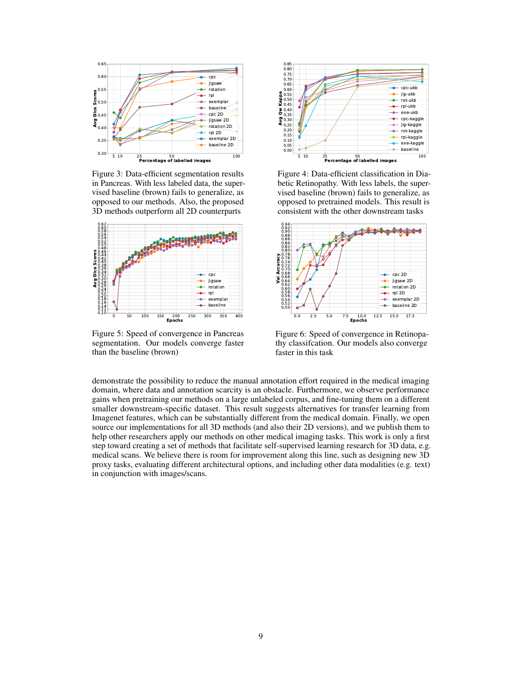<span id="page-8-0"></span>

Figure 3: Data-efficient segmentation results in Pancreas. With less labeled data, the supervised baseline (brown) fails to generalize, as opposed to our methods. Also, the proposed 3D methods outperform all 2D counterparts



Figure 5: Speed of convergence in Pancreas segmentation. Our models converge faster than the baseline (brown)



Figure 4: Data-efficient classification in Diabetic Retinopathy. With less labels, the supervised baseline (brown) fails to generalize, as opposed to pretrained models. This result is consistent with the other downstream tasks



Figure 6: Speed of convergence in Retinopathy classifcation. Our models also converge faster in this task

demonstrate the possibility to reduce the manual annotation effort required in the medical imaging domain, where data and annotation scarcity is an obstacle. Furthermore, we observe performance gains when pretraining our methods on a large unlabeled corpus, and fine-tuning them on a different smaller downstream-specific dataset. This result suggests alternatives for transfer learning from Imagenet features, which can be substantially different from the medical domain. Finally, we open source our implementations for all 3D methods (and also their 2D versions), and we publish them to help other researchers apply our methods on other medical imaging tasks. This work is only a first step toward creating a set of methods that facilitate self-supervised learning research for 3D data, e.g. medical scans. We believe there is room for improvement along this line, such as designing new 3D proxy tasks, evaluating different architectural options, and including other data modalities (e.g. text) in conjunction with images/scans.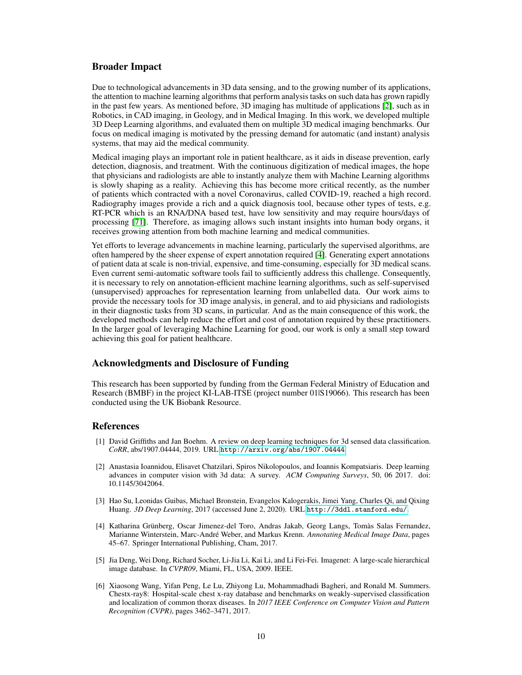## Broader Impact

Due to technological advancements in 3D data sensing, and to the growing number of its applications, the attention to machine learning algorithms that perform analysis tasks on such data has grown rapidly in the past few years. As mentioned before, 3D imaging has multitude of applications [\[2\]](#page-9-5), such as in Robotics, in CAD imaging, in Geology, and in Medical Imaging. In this work, we developed multiple 3D Deep Learning algorithms, and evaluated them on multiple 3D medical imaging benchmarks. Our focus on medical imaging is motivated by the pressing demand for automatic (and instant) analysis systems, that may aid the medical community.

Medical imaging plays an important role in patient healthcare, as it aids in disease prevention, early detection, diagnosis, and treatment. With the continuous digitization of medical images, the hope that physicians and radiologists are able to instantly analyze them with Machine Learning algorithms is slowly shaping as a reality. Achieving this has become more critical recently, as the number of patients which contracted with a novel Coronavirus, called COVID-19, reached a high record. Radiography images provide a rich and a quick diagnosis tool, because other types of tests, e.g. RT-PCR which is an RNA/DNA based test, have low sensitivity and may require hours/days of processing [\[71\]](#page-14-2). Therefore, as imaging allows such instant insights into human body organs, it receives growing attention from both machine learning and medical communities.

Yet efforts to leverage advancements in machine learning, particularly the supervised algorithms, are often hampered by the sheer expense of expert annotation required [\[4\]](#page-9-2). Generating expert annotations of patient data at scale is non-trivial, expensive, and time-consuming, especially for 3D medical scans. Even current semi-automatic software tools fail to sufficiently address this challenge. Consequently, it is necessary to rely on annotation-efficient machine learning algorithms, such as self-supervised (unsupervised) approaches for representation learning from unlabelled data. Our work aims to provide the necessary tools for 3D image analysis, in general, and to aid physicians and radiologists in their diagnostic tasks from 3D scans, in particular. And as the main consequence of this work, the developed methods can help reduce the effort and cost of annotation required by these practitioners. In the larger goal of leveraging Machine Learning for good, our work is only a small step toward achieving this goal for patient healthcare.

## Acknowledgments and Disclosure of Funding

This research has been supported by funding from the German Federal Ministry of Education and Research (BMBF) in the project KI-LAB-ITSE (project number 01|S19066). This research has been conducted using the UK Biobank Resource.

## References

- <span id="page-9-0"></span>[1] David Griffiths and Jan Boehm. A review on deep learning techniques for 3d sensed data classification. *CoRR*, abs/1907.04444, 2019. URL <http://arxiv.org/abs/1907.04444>.
- <span id="page-9-5"></span>[2] Anastasia Ioannidou, Elisavet Chatzilari, Spiros Nikolopoulos, and Ioannis Kompatsiaris. Deep learning advances in computer vision with 3d data: A survey. *ACM Computing Surveys*, 50, 06 2017. doi: 10.1145/3042064.
- <span id="page-9-1"></span>[3] Hao Su, Leonidas Guibas, Michael Bronstein, Evangelos Kalogerakis, Jimei Yang, Charles Qi, and Qixing Huang. *3D Deep Learning*, 2017 (accessed June 2, 2020). URL <http://3ddl.stanford.edu/>.
- <span id="page-9-2"></span>[4] Katharina Grünberg, Oscar Jimenez-del Toro, Andras Jakab, Georg Langs, Tomàs Salas Fernandez, Marianne Winterstein, Marc-André Weber, and Markus Krenn. *Annotating Medical Image Data*, pages 45–67. Springer International Publishing, Cham, 2017.
- <span id="page-9-3"></span>[5] Jia Deng, Wei Dong, Richard Socher, Li-Jia Li, Kai Li, and Li Fei-Fei. Imagenet: A large-scale hierarchical image database. In *CVPR09*, Miami, FL, USA, 2009. IEEE.
- <span id="page-9-4"></span>[6] Xiaosong Wang, Yifan Peng, Le Lu, Zhiyong Lu, Mohammadhadi Bagheri, and Ronald M. Summers. Chestx-ray8: Hospital-scale chest x-ray database and benchmarks on weakly-supervised classification and localization of common thorax diseases. In *2017 IEEE Conference on Computer Vision and Pattern Recognition (CVPR)*, pages 3462–3471, 2017.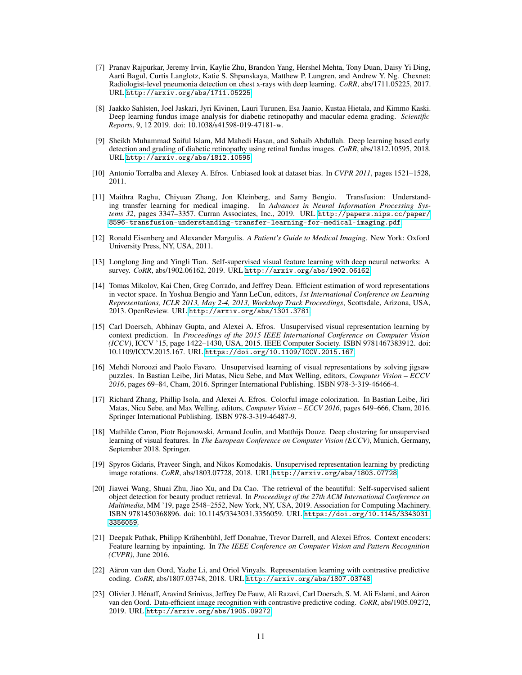- [7] Pranav Rajpurkar, Jeremy Irvin, Kaylie Zhu, Brandon Yang, Hershel Mehta, Tony Duan, Daisy Yi Ding, Aarti Bagul, Curtis Langlotz, Katie S. Shpanskaya, Matthew P. Lungren, and Andrew Y. Ng. Chexnet: Radiologist-level pneumonia detection on chest x-rays with deep learning. *CoRR*, abs/1711.05225, 2017. URL <http://arxiv.org/abs/1711.05225>.
- [8] Jaakko Sahlsten, Joel Jaskari, Jyri Kivinen, Lauri Turunen, Esa Jaanio, Kustaa Hietala, and Kimmo Kaski. Deep learning fundus image analysis for diabetic retinopathy and macular edema grading. *Scientific Reports*, 9, 12 2019. doi: 10.1038/s41598-019-47181-w.
- <span id="page-10-0"></span>[9] Sheikh Muhammad Saiful Islam, Md Mahedi Hasan, and Sohaib Abdullah. Deep learning based early detection and grading of diabetic retinopathy using retinal fundus images. *CoRR*, abs/1812.10595, 2018. URL <http://arxiv.org/abs/1812.10595>.
- <span id="page-10-1"></span>[10] Antonio Torralba and Alexey A. Efros. Unbiased look at dataset bias. In *CVPR 2011*, pages 1521–1528, 2011.
- <span id="page-10-2"></span>[11] Maithra Raghu, Chiyuan Zhang, Jon Kleinberg, and Samy Bengio. Transfusion: Understanding transfer learning for medical imaging. In *Advances in Neural Information Processing Systems 32*, pages 3347–3357. Curran Associates, Inc., 2019. URL [http://papers.nips.cc/paper/](http://papers.nips.cc/paper/8596-transfusion-understanding-transfer-learning-for-medical-imaging.pdf) [8596-transfusion-understanding-transfer-learning-for-medical-imaging.pdf](http://papers.nips.cc/paper/8596-transfusion-understanding-transfer-learning-for-medical-imaging.pdf).
- <span id="page-10-3"></span>[12] Ronald Eisenberg and Alexander Margulis. *A Patient's Guide to Medical Imaging*. New York: Oxford University Press, NY, USA, 2011.
- <span id="page-10-4"></span>[13] Longlong Jing and Yingli Tian. Self-supervised visual feature learning with deep neural networks: A survey. *CoRR*, abs/1902.06162, 2019. URL <http://arxiv.org/abs/1902.06162>.
- <span id="page-10-5"></span>[14] Tomas Mikolov, Kai Chen, Greg Corrado, and Jeffrey Dean. Efficient estimation of word representations in vector space. In Yoshua Bengio and Yann LeCun, editors, *1st International Conference on Learning Representations, ICLR 2013, May 2-4, 2013, Workshop Track Proceedings*, Scottsdale, Arizona, USA, 2013. OpenReview. URL <http://arxiv.org/abs/1301.3781>.
- <span id="page-10-6"></span>[15] Carl Doersch, Abhinav Gupta, and Alexei A. Efros. Unsupervised visual representation learning by context prediction. In *Proceedings of the 2015 IEEE International Conference on Computer Vision (ICCV)*, ICCV '15, page 1422–1430, USA, 2015. IEEE Computer Society. ISBN 9781467383912. doi: 10.1109/ICCV.2015.167. URL <https://doi.org/10.1109/ICCV.2015.167>.
- <span id="page-10-7"></span>[16] Mehdi Noroozi and Paolo Favaro. Unsupervised learning of visual representations by solving jigsaw puzzles. In Bastian Leibe, Jiri Matas, Nicu Sebe, and Max Welling, editors, *Computer Vision – ECCV 2016*, pages 69–84, Cham, 2016. Springer International Publishing. ISBN 978-3-319-46466-4.
- <span id="page-10-8"></span>[17] Richard Zhang, Phillip Isola, and Alexei A. Efros. Colorful image colorization. In Bastian Leibe, Jiri Matas, Nicu Sebe, and Max Welling, editors, *Computer Vision – ECCV 2016*, pages 649–666, Cham, 2016. Springer International Publishing. ISBN 978-3-319-46487-9.
- <span id="page-10-9"></span>[18] Mathilde Caron, Piotr Bojanowski, Armand Joulin, and Matthijs Douze. Deep clustering for unsupervised learning of visual features. In *The European Conference on Computer Vision (ECCV)*, Munich, Germany, September 2018. Springer.
- <span id="page-10-10"></span>[19] Spyros Gidaris, Praveer Singh, and Nikos Komodakis. Unsupervised representation learning by predicting image rotations. *CoRR*, abs/1803.07728, 2018. URL <http://arxiv.org/abs/1803.07728>.
- <span id="page-10-11"></span>[20] Jiawei Wang, Shuai Zhu, Jiao Xu, and Da Cao. The retrieval of the beautiful: Self-supervised salient object detection for beauty product retrieval. In *Proceedings of the 27th ACM International Conference on Multimedia*, MM '19, page 2548–2552, New York, NY, USA, 2019. Association for Computing Machinery. ISBN 9781450368896. doi: 10.1145/3343031.3356059. URL [https://doi.org/10.1145/3343031.](https://doi.org/10.1145/3343031.3356059) [3356059](https://doi.org/10.1145/3343031.3356059).
- <span id="page-10-12"></span>[21] Deepak Pathak, Philipp Krähenbühl, Jeff Donahue, Trevor Darrell, and Alexei Efros. Context encoders: Feature learning by inpainting. In *The IEEE Conference on Computer Vision and Pattern Recognition (CVPR)*, June 2016.
- <span id="page-10-13"></span>[22] Aäron van den Oord, Yazhe Li, and Oriol Vinyals. Representation learning with contrastive predictive coding. *CoRR*, abs/1807.03748, 2018. URL <http://arxiv.org/abs/1807.03748>.
- <span id="page-10-14"></span>[23] Olivier J. Hénaff, Aravind Srinivas, Jeffrey De Fauw, Ali Razavi, Carl Doersch, S. M. Ali Eslami, and Aäron van den Oord. Data-efficient image recognition with contrastive predictive coding. *CoRR*, abs/1905.09272, 2019. URL <http://arxiv.org/abs/1905.09272>.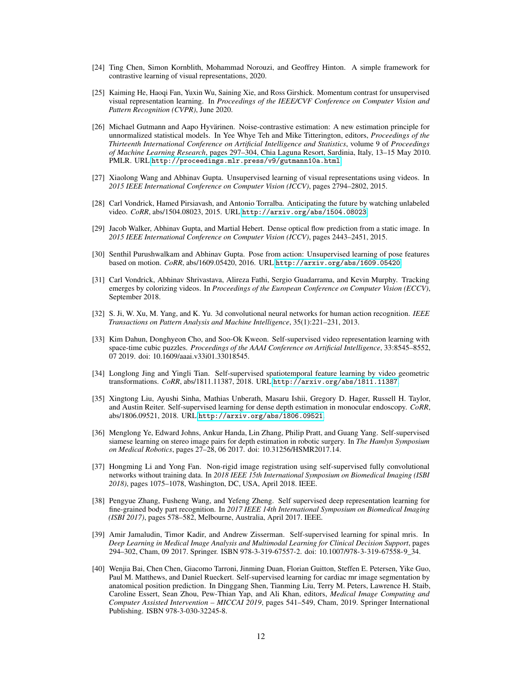- <span id="page-11-0"></span>[24] Ting Chen, Simon Kornblith, Mohammad Norouzi, and Geoffrey Hinton. A simple framework for contrastive learning of visual representations, 2020.
- <span id="page-11-1"></span>[25] Kaiming He, Haoqi Fan, Yuxin Wu, Saining Xie, and Ross Girshick. Momentum contrast for unsupervised visual representation learning. In *Proceedings of the IEEE/CVF Conference on Computer Vision and Pattern Recognition (CVPR)*, June 2020.
- <span id="page-11-2"></span>[26] Michael Gutmann and Aapo Hyvärinen. Noise-contrastive estimation: A new estimation principle for unnormalized statistical models. In Yee Whye Teh and Mike Titterington, editors, *Proceedings of the Thirteenth International Conference on Artificial Intelligence and Statistics*, volume 9 of *Proceedings of Machine Learning Research*, pages 297–304, Chia Laguna Resort, Sardinia, Italy, 13–15 May 2010. PMLR. URL <http://proceedings.mlr.press/v9/gutmann10a.html>.
- <span id="page-11-3"></span>[27] Xiaolong Wang and Abhinav Gupta. Unsupervised learning of visual representations using videos. In *2015 IEEE International Conference on Computer Vision (ICCV)*, pages 2794–2802, 2015.
- [28] Carl Vondrick, Hamed Pirsiavash, and Antonio Torralba. Anticipating the future by watching unlabeled video. *CoRR*, abs/1504.08023, 2015. URL <http://arxiv.org/abs/1504.08023>.
- [29] Jacob Walker, Abhinav Gupta, and Martial Hebert. Dense optical flow prediction from a static image. In *2015 IEEE International Conference on Computer Vision (ICCV)*, pages 2443–2451, 2015.
- [30] Senthil Purushwalkam and Abhinav Gupta. Pose from action: Unsupervised learning of pose features based on motion. *CoRR*, abs/1609.05420, 2016. URL <http://arxiv.org/abs/1609.05420>.
- <span id="page-11-4"></span>[31] Carl Vondrick, Abhinav Shrivastava, Alireza Fathi, Sergio Guadarrama, and Kevin Murphy. Tracking emerges by colorizing videos. In *Proceedings of the European Conference on Computer Vision (ECCV)*, September 2018.
- <span id="page-11-5"></span>[32] S. Ji, W. Xu, M. Yang, and K. Yu. 3d convolutional neural networks for human action recognition. *IEEE Transactions on Pattern Analysis and Machine Intelligence*, 35(1):221–231, 2013.
- <span id="page-11-6"></span>[33] Kim Dahun, Donghyeon Cho, and Soo-Ok Kweon. Self-supervised video representation learning with space-time cubic puzzles. *Proceedings of the AAAI Conference on Artificial Intelligence*, 33:8545–8552, 07 2019. doi: 10.1609/aaai.v33i01.33018545.
- <span id="page-11-7"></span>[34] Longlong Jing and Yingli Tian. Self-supervised spatiotemporal feature learning by video geometric transformations. *CoRR*, abs/1811.11387, 2018. URL <http://arxiv.org/abs/1811.11387>.
- <span id="page-11-8"></span>[35] Xingtong Liu, Ayushi Sinha, Mathias Unberath, Masaru Ishii, Gregory D. Hager, Russell H. Taylor, and Austin Reiter. Self-supervised learning for dense depth estimation in monocular endoscopy. *CoRR*, abs/1806.09521, 2018. URL <http://arxiv.org/abs/1806.09521>.
- <span id="page-11-9"></span>[36] Menglong Ye, Edward Johns, Ankur Handa, Lin Zhang, Philip Pratt, and Guang Yang. Self-supervised siamese learning on stereo image pairs for depth estimation in robotic surgery. In *The Hamlyn Symposium on Medical Robotics*, pages 27–28, 06 2017. doi: 10.31256/HSMR2017.14.
- <span id="page-11-10"></span>[37] Hongming Li and Yong Fan. Non-rigid image registration using self-supervised fully convolutional networks without training data. In *2018 IEEE 15th International Symposium on Biomedical Imaging (ISBI 2018)*, pages 1075–1078, Washington, DC, USA, April 2018. IEEE.
- <span id="page-11-11"></span>[38] Pengyue Zhang, Fusheng Wang, and Yefeng Zheng. Self supervised deep representation learning for fine-grained body part recognition. In *2017 IEEE 14th International Symposium on Biomedical Imaging (ISBI 2017)*, pages 578–582, Melbourne, Australia, April 2017. IEEE.
- <span id="page-11-12"></span>[39] Amir Jamaludin, Timor Kadir, and Andrew Zisserman. Self-supervised learning for spinal mris. In *Deep Learning in Medical Image Analysis and Multimodal Learning for Clinical Decision Support*, pages 294–302, Cham, 09 2017. Springer. ISBN 978-3-319-67557-2. doi: 10.1007/978-3-319-67558-9\_34.
- <span id="page-11-13"></span>[40] Wenjia Bai, Chen Chen, Giacomo Tarroni, Jinming Duan, Florian Guitton, Steffen E. Petersen, Yike Guo, Paul M. Matthews, and Daniel Rueckert. Self-supervised learning for cardiac mr image segmentation by anatomical position prediction. In Dinggang Shen, Tianming Liu, Terry M. Peters, Lawrence H. Staib, Caroline Essert, Sean Zhou, Pew-Thian Yap, and Ali Khan, editors, *Medical Image Computing and Computer Assisted Intervention – MICCAI 2019*, pages 541–549, Cham, 2019. Springer International Publishing. ISBN 978-3-030-32245-8.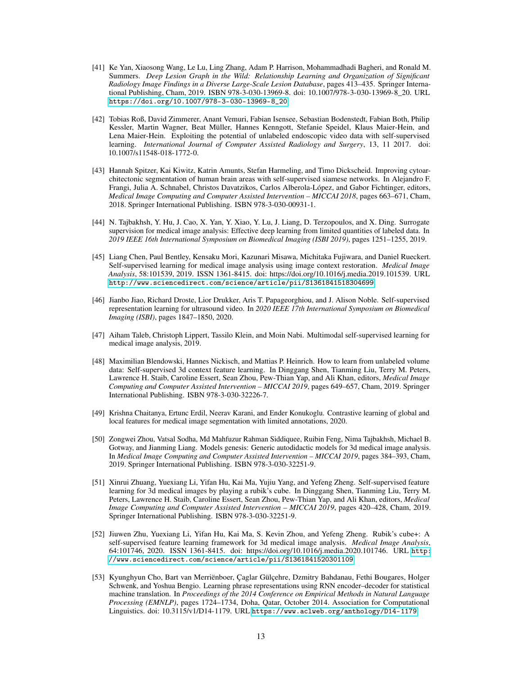- <span id="page-12-0"></span>[41] Ke Yan, Xiaosong Wang, Le Lu, Ling Zhang, Adam P. Harrison, Mohammadhadi Bagheri, and Ronald M. Summers. *Deep Lesion Graph in the Wild: Relationship Learning and Organization of Significant Radiology Image Findings in a Diverse Large-Scale Lesion Database*, pages 413–435. Springer International Publishing, Cham, 2019. ISBN 978-3-030-13969-8. doi: 10.1007/978-3-030-13969-8\_20. URL [https://doi.org/10.1007/978-3-030-13969-8\\_20](https://doi.org/10.1007/978-3-030-13969-8_20).
- <span id="page-12-1"></span>[42] Tobias Roß, David Zimmerer, Anant Vemuri, Fabian Isensee, Sebastian Bodenstedt, Fabian Both, Philip Kessler, Martin Wagner, Beat Müller, Hannes Kenngott, Stefanie Speidel, Klaus Maier-Hein, and Lena Maier-Hein. Exploiting the potential of unlabeled endoscopic video data with self-supervised learning. *International Journal of Computer Assisted Radiology and Surgery*, 13, 11 2017. doi: 10.1007/s11548-018-1772-0.
- <span id="page-12-2"></span>[43] Hannah Spitzer, Kai Kiwitz, Katrin Amunts, Stefan Harmeling, and Timo Dickscheid. Improving cytoarchitectonic segmentation of human brain areas with self-supervised siamese networks. In Alejandro F. Frangi, Julia A. Schnabel, Christos Davatzikos, Carlos Alberola-López, and Gabor Fichtinger, editors, *Medical Image Computing and Computer Assisted Intervention – MICCAI 2018*, pages 663–671, Cham, 2018. Springer International Publishing. ISBN 978-3-030-00931-1.
- <span id="page-12-3"></span>[44] N. Tajbakhsh, Y. Hu, J. Cao, X. Yan, Y. Xiao, Y. Lu, J. Liang, D. Terzopoulos, and X. Ding. Surrogate supervision for medical image analysis: Effective deep learning from limited quantities of labeled data. In *2019 IEEE 16th International Symposium on Biomedical Imaging (ISBI 2019)*, pages 1251–1255, 2019.
- <span id="page-12-4"></span>[45] Liang Chen, Paul Bentley, Kensaku Mori, Kazunari Misawa, Michitaka Fujiwara, and Daniel Rueckert. Self-supervised learning for medical image analysis using image context restoration. *Medical Image Analysis*, 58:101539, 2019. ISSN 1361-8415. doi: https://doi.org/10.1016/j.media.2019.101539. URL <http://www.sciencedirect.com/science/article/pii/S1361841518304699>.
- [46] Jianbo Jiao, Richard Droste, Lior Drukker, Aris T. Papageorghiou, and J. Alison Noble. Self-supervised representation learning for ultrasound video. In *2020 IEEE 17th International Symposium on Biomedical Imaging (ISBI)*, pages 1847–1850, 2020.
- [47] Aiham Taleb, Christoph Lippert, Tassilo Klein, and Moin Nabi. Multimodal self-supervised learning for medical image analysis, 2019.
- [48] Maximilian Blendowski, Hannes Nickisch, and Mattias P. Heinrich. How to learn from unlabeled volume data: Self-supervised 3d context feature learning. In Dinggang Shen, Tianming Liu, Terry M. Peters, Lawrence H. Staib, Caroline Essert, Sean Zhou, Pew-Thian Yap, and Ali Khan, editors, *Medical Image Computing and Computer Assisted Intervention – MICCAI 2019*, pages 649–657, Cham, 2019. Springer International Publishing. ISBN 978-3-030-32226-7.
- <span id="page-12-5"></span>[49] Krishna Chaitanya, Ertunc Erdil, Neerav Karani, and Ender Konukoglu. Contrastive learning of global and local features for medical image segmentation with limited annotations, 2020.
- <span id="page-12-6"></span>[50] Zongwei Zhou, Vatsal Sodha, Md Mahfuzur Rahman Siddiquee, Ruibin Feng, Nima Tajbakhsh, Michael B. Gotway, and Jianming Liang. Models genesis: Generic autodidactic models for 3d medical image analysis. In *Medical Image Computing and Computer Assisted Intervention – MICCAI 2019*, pages 384–393, Cham, 2019. Springer International Publishing. ISBN 978-3-030-32251-9.
- <span id="page-12-7"></span>[51] Xinrui Zhuang, Yuexiang Li, Yifan Hu, Kai Ma, Yujiu Yang, and Yefeng Zheng. Self-supervised feature learning for 3d medical images by playing a rubik's cube. In Dinggang Shen, Tianming Liu, Terry M. Peters, Lawrence H. Staib, Caroline Essert, Sean Zhou, Pew-Thian Yap, and Ali Khan, editors, *Medical Image Computing and Computer Assisted Intervention – MICCAI 2019*, pages 420–428, Cham, 2019. Springer International Publishing. ISBN 978-3-030-32251-9.
- <span id="page-12-8"></span>[52] Jiuwen Zhu, Yuexiang Li, Yifan Hu, Kai Ma, S. Kevin Zhou, and Yefeng Zheng. Rubik's cube+: A self-supervised feature learning framework for 3d medical image analysis. *Medical Image Analysis*, 64:101746, 2020. ISSN 1361-8415. doi: https://doi.org/10.1016/j.media.2020.101746. URL [http:](http://www.sciencedirect.com/science/article/pii/S1361841520301109) [//www.sciencedirect.com/science/article/pii/S1361841520301109](http://www.sciencedirect.com/science/article/pii/S1361841520301109).
- <span id="page-12-9"></span>[53] Kyunghyun Cho, Bart van Merriënboer, Çaglar Gülçehre, Dzmitry Bahdanau, Fethi Bougares, Holger Schwenk, and Yoshua Bengio. Learning phrase representations using RNN encoder–decoder for statistical machine translation. In *Proceedings of the 2014 Conference on Empirical Methods in Natural Language Processing (EMNLP)*, pages 1724–1734, Doha, Qatar, October 2014. Association for Computational Linguistics. doi: 10.3115/v1/D14-1179. URL <https://www.aclweb.org/anthology/D14-1179>.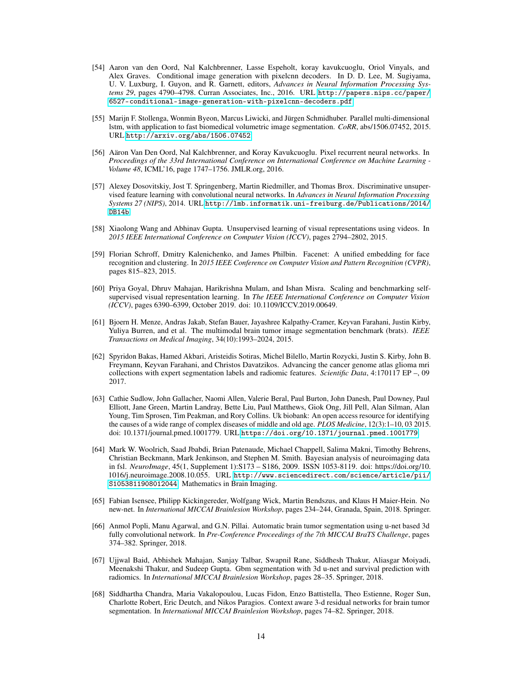- <span id="page-13-0"></span>[54] Aaron van den Oord, Nal Kalchbrenner, Lasse Espeholt, koray kavukcuoglu, Oriol Vinyals, and Alex Graves. Conditional image generation with pixelcnn decoders. In D. D. Lee, M. Sugiyama, U. V. Luxburg, I. Guyon, and R. Garnett, editors, *Advances in Neural Information Processing Systems 29*, pages 4790–4798. Curran Associates, Inc., 2016. URL [http://papers.nips.cc/paper/](http://papers.nips.cc/paper/6527-conditional-image-generation-with-pixelcnn-decoders.pdf) [6527-conditional-image-generation-with-pixelcnn-decoders.pdf](http://papers.nips.cc/paper/6527-conditional-image-generation-with-pixelcnn-decoders.pdf).
- <span id="page-13-1"></span>[55] Marijn F. Stollenga, Wonmin Byeon, Marcus Liwicki, and Jürgen Schmidhuber. Parallel multi-dimensional lstm, with application to fast biomedical volumetric image segmentation. *CoRR*, abs/1506.07452, 2015. URL <http://arxiv.org/abs/1506.07452>.
- <span id="page-13-2"></span>[56] Aäron Van Den Oord, Nal Kalchbrenner, and Koray Kavukcuoglu. Pixel recurrent neural networks. In *Proceedings of the 33rd International Conference on International Conference on Machine Learning - Volume 48*, ICML'16, page 1747–1756. JMLR.org, 2016.
- <span id="page-13-3"></span>[57] Alexey Dosovitskiy, Jost T. Springenberg, Martin Riedmiller, and Thomas Brox. Discriminative unsupervised feature learning with convolutional neural networks. In *Advances in Neural Information Processing Systems 27 (NIPS)*, 2014. URL [http://lmb.informatik.uni-freiburg.de/Publications/2014/](http://lmb.informatik.uni-freiburg.de/Publications/2014/DB14b) [DB14b](http://lmb.informatik.uni-freiburg.de/Publications/2014/DB14b).
- <span id="page-13-4"></span>[58] Xiaolong Wang and Abhinav Gupta. Unsupervised learning of visual representations using videos. In *2015 IEEE International Conference on Computer Vision (ICCV)*, pages 2794–2802, 2015.
- <span id="page-13-5"></span>[59] Florian Schroff, Dmitry Kalenichenko, and James Philbin. Facenet: A unified embedding for face recognition and clustering. In *2015 IEEE Conference on Computer Vision and Pattern Recognition (CVPR)*, pages 815–823, 2015.
- <span id="page-13-6"></span>[60] Priya Goyal, Dhruv Mahajan, Harikrishna Mulam, and Ishan Misra. Scaling and benchmarking selfsupervised visual representation learning. In *The IEEE International Conference on Computer Vision (ICCV)*, pages 6390–6399, October 2019. doi: 10.1109/ICCV.2019.00649.
- <span id="page-13-7"></span>[61] Bjoern H. Menze, Andras Jakab, Stefan Bauer, Jayashree Kalpathy-Cramer, Keyvan Farahani, Justin Kirby, Yuliya Burren, and et al. The multimodal brain tumor image segmentation benchmark (brats). *IEEE Transactions on Medical Imaging*, 34(10):1993–2024, 2015.
- <span id="page-13-8"></span>[62] Spyridon Bakas, Hamed Akbari, Aristeidis Sotiras, Michel Bilello, Martin Rozycki, Justin S. Kirby, John B. Freymann, Keyvan Farahani, and Christos Davatzikos. Advancing the cancer genome atlas glioma mri collections with expert segmentation labels and radiomic features. *Scientific Data*, 4:170117 EP –, 09 2017.
- <span id="page-13-9"></span>[63] Cathie Sudlow, John Gallacher, Naomi Allen, Valerie Beral, Paul Burton, John Danesh, Paul Downey, Paul Elliott, Jane Green, Martin Landray, Bette Liu, Paul Matthews, Giok Ong, Jill Pell, Alan Silman, Alan Young, Tim Sprosen, Tim Peakman, and Rory Collins. Uk biobank: An open access resource for identifying the causes of a wide range of complex diseases of middle and old age. *PLOS Medicine*, 12(3):1–10, 03 2015. doi: 10.1371/journal.pmed.1001779. URL <https://doi.org/10.1371/journal.pmed.1001779>.
- <span id="page-13-10"></span>[64] Mark W. Woolrich, Saad Jbabdi, Brian Patenaude, Michael Chappell, Salima Makni, Timothy Behrens, Christian Beckmann, Mark Jenkinson, and Stephen M. Smith. Bayesian analysis of neuroimaging data in fsl. *NeuroImage*, 45(1, Supplement 1):S173 – S186, 2009. ISSN 1053-8119. doi: https://doi.org/10. 1016/j.neuroimage.2008.10.055. URL [http://www.sciencedirect.com/science/article/pii/](http://www.sciencedirect.com/science/article/pii/S1053811908012044) [S1053811908012044](http://www.sciencedirect.com/science/article/pii/S1053811908012044). Mathematics in Brain Imaging.
- <span id="page-13-11"></span>[65] Fabian Isensee, Philipp Kickingereder, Wolfgang Wick, Martin Bendszus, and Klaus H Maier-Hein. No new-net. In *International MICCAI Brainlesion Workshop*, pages 234–244, Granada, Spain, 2018. Springer.
- <span id="page-13-13"></span>[66] Anmol Popli, Manu Agarwal, and G.N. Pillai. Automatic brain tumor segmentation using u-net based 3d fully convolutional network. In *Pre-Conference Proceedings of the 7th MICCAI BraTS Challenge*, pages 374–382. Springer, 2018.
- <span id="page-13-14"></span>[67] Ujjwal Baid, Abhishek Mahajan, Sanjay Talbar, Swapnil Rane, Siddhesh Thakur, Aliasgar Moiyadi, Meenakshi Thakur, and Sudeep Gupta. Gbm segmentation with 3d u-net and survival prediction with radiomics. In *International MICCAI Brainlesion Workshop*, pages 28–35. Springer, 2018.
- <span id="page-13-12"></span>[68] Siddhartha Chandra, Maria Vakalopoulou, Lucas Fidon, Enzo Battistella, Theo Estienne, Roger Sun, Charlotte Robert, Eric Deutch, and Nikos Paragios. Context aware 3-d residual networks for brain tumor segmentation. In *International MICCAI Brainlesion Workshop*, pages 74–82. Springer, 2018.